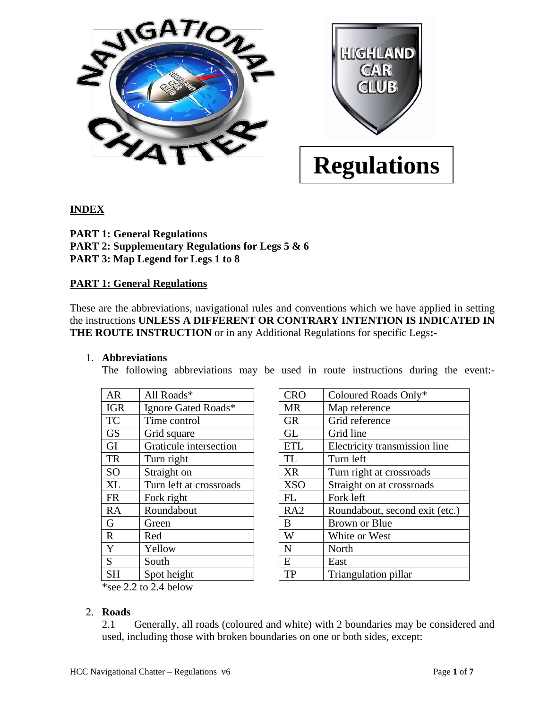

# **INDEX**

**PART 1: General Regulations PART 2: Supplementary Regulations for Legs 5 & 6 PART 3: Map Legend for Legs 1 to 8**

### **PART 1: General Regulations**

These are the abbreviations, navigational rules and conventions which we have applied in setting the instructions **UNLESS A DIFFERENT OR CONTRARY INTENTION IS INDICATED IN THE ROUTE INSTRUCTION** or in any Additional Regulations for specific Legs**:**-

#### 1. **Abbreviations**

The following abbreviations may be used in route instructions during the event:-

| <b>AR</b>    | All Roads*              | <b>CRO</b>  | Coloured Roads Only*     |
|--------------|-------------------------|-------------|--------------------------|
| <b>IGR</b>   | Ignore Gated Roads*     | <b>MR</b>   | Map reference            |
| <b>TC</b>    | Time control            | <b>GR</b>   | Grid reference           |
| <b>GS</b>    | Grid square             | <b>GL</b>   | Grid line                |
| GI           | Graticule intersection  | <b>ETL</b>  | Electricity transmission |
| <b>TR</b>    | Turn right              | <b>TL</b>   | Turn left                |
| <b>SO</b>    | Straight on             | <b>XR</b>   | Turn right at crossroad: |
| <b>XL</b>    | Turn left at crossroads | <b>XSO</b>  | Straight on at crossroad |
| <b>FR</b>    | Fork right              | FL          | Fork left                |
| <b>RA</b>    | Roundabout              | RA2         | Roundabout, second ex    |
| G            | Green                   | B           | Brown or Blue            |
| $\mathbf{R}$ | Red                     | W           | White or West            |
| Y            | Yellow                  | $\mathbf N$ | North                    |
| S            | South                   | E           | East                     |
| <b>SH</b>    | Spot height             | <b>TP</b>   | Triangulation pillar     |
|              |                         |             |                          |

| AR                     | All Roads*              | <b>CRO</b>      | Coloured Roads Only*           |
|------------------------|-------------------------|-----------------|--------------------------------|
| <b>IGR</b>             | Ignore Gated Roads*     | <b>MR</b>       | Map reference                  |
| TC                     | Time control            | <b>GR</b>       | Grid reference                 |
| $\overline{\text{GS}}$ | Grid square             | <b>GL</b>       | Grid line                      |
| GI                     | Graticule intersection  | <b>ETL</b>      | Electricity transmission line  |
| <b>TR</b>              | Turn right              | <b>TL</b>       | Turn left                      |
| SO                     | Straight on             | <b>XR</b>       | Turn right at crossroads       |
| XL                     | Turn left at crossroads | <b>XSO</b>      | Straight on at crossroads      |
| FR                     | Fork right              | FL              | Fork left                      |
| RA                     | Roundabout              | RA <sub>2</sub> | Roundabout, second exit (etc.) |
| G                      | Green                   | B               | <b>Brown or Blue</b>           |
|                        | Red                     | W               | White or West                  |
|                        | Yellow                  | N               | North                          |
| $\frac{R}{Y}$          | South                   | E               | East                           |
| <b>SH</b>              | Spot height             | TP              | Triangulation pillar           |

\*see 2.2 to 2.4 below

# 2. **Roads**

2.1 Generally, all roads (coloured and white) with 2 boundaries may be considered and used, including those with broken boundaries on one or both sides, except: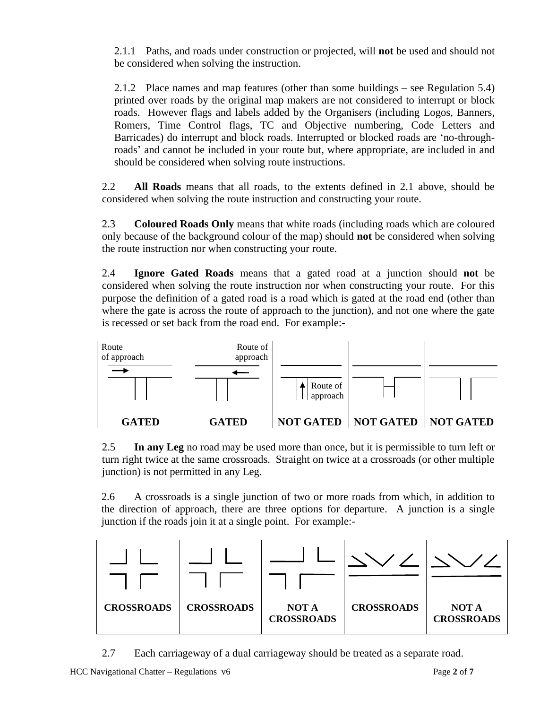2.1.1 Paths, and roads under construction or projected, will **not** be used and should not be considered when solving the instruction.

2.1.2 Place names and map features (other than some buildings – see Regulation 5.4) printed over roads by the original map makers are not considered to interrupt or block roads. However flags and labels added by the Organisers (including Logos, Banners, Romers, Time Control flags, TC and Objective numbering, Code Letters and Barricades) do interrupt and block roads. Interrupted or blocked roads are 'no-throughroads' and cannot be included in your route but, where appropriate, are included in and should be considered when solving route instructions.

2.2 **All Roads** means that all roads, to the extents defined in 2.1 above, should be considered when solving the route instruction and constructing your route.

2.3 **Coloured Roads Only** means that white roads (including roads which are coloured only because of the background colour of the map) should **not** be considered when solving the route instruction nor when constructing your route.

2.4 **Ignore Gated Roads** means that a gated road at a junction should **not** be considered when solving the route instruction nor when constructing your route. For this purpose the definition of a gated road is a road which is gated at the road end (other than where the gate is across the route of approach to the junction), and not one where the gate is recessed or set back from the road end. For example:-



2.5 **In any Leg** no road may be used more than once, but it is permissible to turn left or turn right twice at the same crossroads. Straight on twice at a crossroads (or other multiple junction) is not permitted in any Leg.

2.6 A crossroads is a single junction of two or more roads from which, in addition to the direction of approach, there are three options for departure. A junction is a single junction if the roads join it at a single point. For example:-



2.7 Each carriageway of a dual carriageway should be treated as a separate road.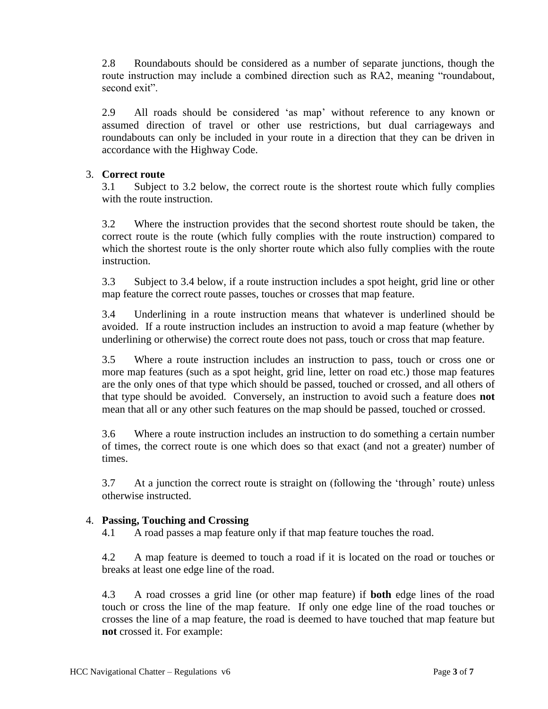2.8 Roundabouts should be considered as a number of separate junctions, though the route instruction may include a combined direction such as RA2, meaning "roundabout, second exit".

2.9 All roads should be considered 'as map' without reference to any known or assumed direction of travel or other use restrictions, but dual carriageways and roundabouts can only be included in your route in a direction that they can be driven in accordance with the Highway Code.

#### 3. **Correct route**

3.1 Subject to 3.2 below, the correct route is the shortest route which fully complies with the route instruction.

3.2 Where the instruction provides that the second shortest route should be taken, the correct route is the route (which fully complies with the route instruction) compared to which the shortest route is the only shorter route which also fully complies with the route instruction.

3.3 Subject to 3.4 below, if a route instruction includes a spot height, grid line or other map feature the correct route passes, touches or crosses that map feature.

3.4 Underlining in a route instruction means that whatever is underlined should be avoided. If a route instruction includes an instruction to avoid a map feature (whether by underlining or otherwise) the correct route does not pass, touch or cross that map feature.

3.5 Where a route instruction includes an instruction to pass, touch or cross one or more map features (such as a spot height, grid line, letter on road etc.) those map features are the only ones of that type which should be passed, touched or crossed, and all others of that type should be avoided. Conversely, an instruction to avoid such a feature does **not** mean that all or any other such features on the map should be passed, touched or crossed.

3.6 Where a route instruction includes an instruction to do something a certain number of times, the correct route is one which does so that exact (and not a greater) number of times.

3.7 At a junction the correct route is straight on (following the 'through' route) unless otherwise instructed.

#### 4. **Passing, Touching and Crossing**

4.1 A road passes a map feature only if that map feature touches the road.

4.2 A map feature is deemed to touch a road if it is located on the road or touches or breaks at least one edge line of the road.

4.3 A road crosses a grid line (or other map feature) if **both** edge lines of the road touch or cross the line of the map feature. If only one edge line of the road touches or crosses the line of a map feature, the road is deemed to have touched that map feature but **not** crossed it. For example: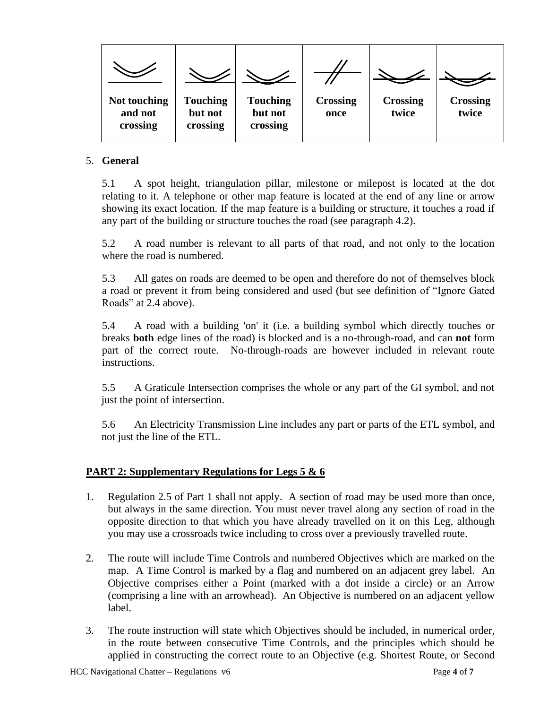

## 5. **General**

5.1 A spot height, triangulation pillar, milestone or milepost is located at the dot relating to it. A telephone or other map feature is located at the end of any line or arrow showing its exact location. If the map feature is a building or structure, it touches a road if any part of the building or structure touches the road (see paragraph 4.2).

5.2 A road number is relevant to all parts of that road, and not only to the location where the road is numbered.

5.3 All gates on roads are deemed to be open and therefore do not of themselves block a road or prevent it from being considered and used (but see definition of "Ignore Gated Roads" at 2.4 above).

5.4 A road with a building 'on' it (i.e. a building symbol which directly touches or breaks **both** edge lines of the road) is blocked and is a no-through-road, and can **not** form part of the correct route. No-through-roads are however included in relevant route instructions.

5.5 A Graticule Intersection comprises the whole or any part of the GI symbol, and not just the point of intersection.

5.6 An Electricity Transmission Line includes any part or parts of the ETL symbol, and not just the line of the ETL.

# **PART 2: Supplementary Regulations for Legs 5 & 6**

- 1. Regulation 2.5 of Part 1 shall not apply. A section of road may be used more than once, but always in the same direction. You must never travel along any section of road in the opposite direction to that which you have already travelled on it on this Leg, although you may use a crossroads twice including to cross over a previously travelled route.
- 2. The route will include Time Controls and numbered Objectives which are marked on the map. A Time Control is marked by a flag and numbered on an adjacent grey label. An Objective comprises either a Point (marked with a dot inside a circle) or an Arrow (comprising a line with an arrowhead). An Objective is numbered on an adjacent yellow label.
- 3. The route instruction will state which Objectives should be included, in numerical order, in the route between consecutive Time Controls, and the principles which should be applied in constructing the correct route to an Objective (e.g. Shortest Route, or Second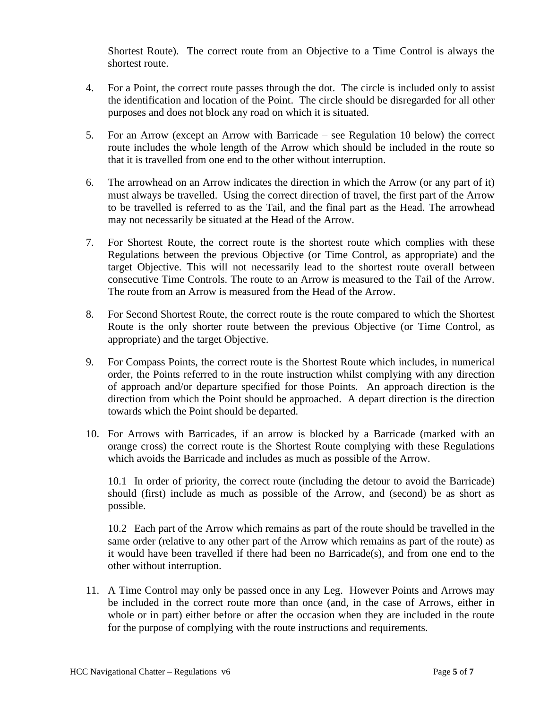Shortest Route). The correct route from an Objective to a Time Control is always the shortest route.

- 4. For a Point, the correct route passes through the dot. The circle is included only to assist the identification and location of the Point. The circle should be disregarded for all other purposes and does not block any road on which it is situated.
- 5. For an Arrow (except an Arrow with Barricade see Regulation 10 below) the correct route includes the whole length of the Arrow which should be included in the route so that it is travelled from one end to the other without interruption.
- 6. The arrowhead on an Arrow indicates the direction in which the Arrow (or any part of it) must always be travelled. Using the correct direction of travel, the first part of the Arrow to be travelled is referred to as the Tail, and the final part as the Head. The arrowhead may not necessarily be situated at the Head of the Arrow.
- 7. For Shortest Route, the correct route is the shortest route which complies with these Regulations between the previous Objective (or Time Control, as appropriate) and the target Objective. This will not necessarily lead to the shortest route overall between consecutive Time Controls. The route to an Arrow is measured to the Tail of the Arrow. The route from an Arrow is measured from the Head of the Arrow.
- 8. For Second Shortest Route, the correct route is the route compared to which the Shortest Route is the only shorter route between the previous Objective (or Time Control, as appropriate) and the target Objective.
- 9. For Compass Points, the correct route is the Shortest Route which includes, in numerical order, the Points referred to in the route instruction whilst complying with any direction of approach and/or departure specified for those Points. An approach direction is the direction from which the Point should be approached. A depart direction is the direction towards which the Point should be departed.
- 10. For Arrows with Barricades, if an arrow is blocked by a Barricade (marked with an orange cross) the correct route is the Shortest Route complying with these Regulations which avoids the Barricade and includes as much as possible of the Arrow.

10.1 In order of priority, the correct route (including the detour to avoid the Barricade) should (first) include as much as possible of the Arrow, and (second) be as short as possible.

10.2 Each part of the Arrow which remains as part of the route should be travelled in the same order (relative to any other part of the Arrow which remains as part of the route) as it would have been travelled if there had been no Barricade(s), and from one end to the other without interruption.

11. A Time Control may only be passed once in any Leg. However Points and Arrows may be included in the correct route more than once (and, in the case of Arrows, either in whole or in part) either before or after the occasion when they are included in the route for the purpose of complying with the route instructions and requirements.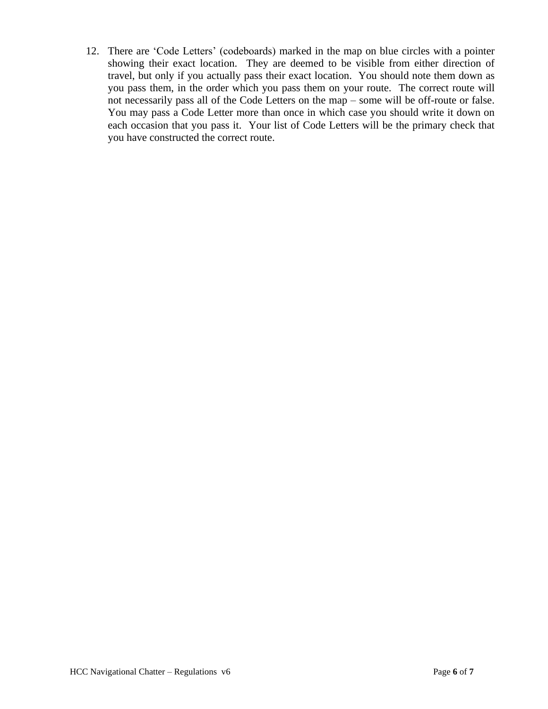12. There are 'Code Letters' (codeboards) marked in the map on blue circles with a pointer showing their exact location. They are deemed to be visible from either direction of travel, but only if you actually pass their exact location. You should note them down as you pass them, in the order which you pass them on your route. The correct route will not necessarily pass all of the Code Letters on the map – some will be off-route or false. You may pass a Code Letter more than once in which case you should write it down on each occasion that you pass it. Your list of Code Letters will be the primary check that you have constructed the correct route.